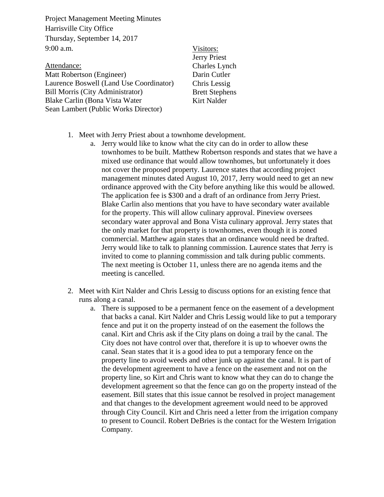Project Management Meeting Minutes Harrisville City Office Thursday, September 14, 2017 9:00 a.m.

Attendance: Matt Robertson (Engineer) Laurence Boswell (Land Use Coordinator) Bill Morris (City Administrator) Blake Carlin (Bona Vista Water Sean Lambert (Public Works Director)

- Visitors: Jerry Priest Charles Lynch Darin Cutler Chris Lessig Brett Stephens Kirt Nalder
- 1. Meet with Jerry Priest about a townhome development.
	- a. Jerry would like to know what the city can do in order to allow these townhomes to be built. Matthew Robertson responds and states that we have a mixed use ordinance that would allow townhomes, but unfortunately it does not cover the proposed property. Laurence states that according project management minutes dated August 10, 2017, Jerry would need to get an new ordinance approved with the City before anything like this would be allowed. The application fee is \$300 and a draft of an ordinance from Jerry Priest. Blake Carlin also mentions that you have to have secondary water available for the property. This will allow culinary approval. Pineview oversees secondary water approval and Bona Vista culinary approval. Jerry states that the only market for that property is townhomes, even though it is zoned commercial. Matthew again states that an ordinance would need be drafted. Jerry would like to talk to planning commission. Laurence states that Jerry is invited to come to planning commission and talk during public comments. The next meeting is October 11, unless there are no agenda items and the meeting is cancelled.
- 2. Meet with Kirt Nalder and Chris Lessig to discuss options for an existing fence that runs along a canal.
	- a. There is supposed to be a permanent fence on the easement of a development that backs a canal. Kirt Nalder and Chris Lessig would like to put a temporary fence and put it on the property instead of on the easement the follows the canal. Kirt and Chris ask if the City plans on doing a trail by the canal. The City does not have control over that, therefore it is up to whoever owns the canal. Sean states that it is a good idea to put a temporary fence on the property line to avoid weeds and other junk up against the canal. It is part of the development agreement to have a fence on the easement and not on the property line, so Kirt and Chris want to know what they can do to change the development agreement so that the fence can go on the property instead of the easement. Bill states that this issue cannot be resolved in project management and that changes to the development agreement would need to be approved through City Council. Kirt and Chris need a letter from the irrigation company to present to Council. Robert DeBries is the contact for the Western Irrigation Company.